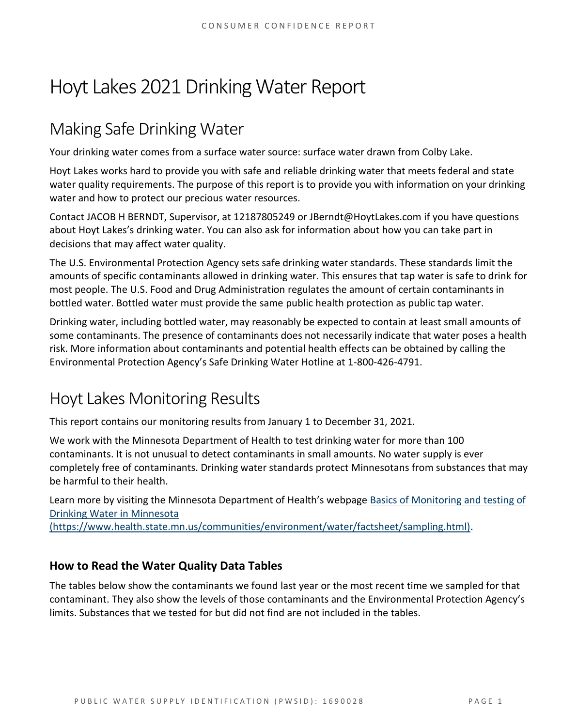# Hoyt Lakes 2021 Drinking Water Report

### Making Safe Drinking Water

Your drinking water comes from a surface water source: surface water drawn from Colby Lake.

Hoyt Lakes works hard to provide you with safe and reliable drinking water that meets federal and state water quality requirements. The purpose of this report is to provide you with information on your drinking water and how to protect our precious water resources.

Contact JACOB H BERNDT, Supervisor, at 12187805249 or JBerndt@HoytLakes.com if you have questions about Hoyt Lakes's drinking water. You can also ask for information about how you can take part in decisions that may affect water quality.

The U.S. Environmental Protection Agency sets safe drinking water standards. These standards limit the amounts of specific contaminants allowed in drinking water. This ensures that tap water is safe to drink for most people. The U.S. Food and Drug Administration regulates the amount of certain contaminants in bottled water. Bottled water must provide the same public health protection as public tap water.

Drinking water, including bottled water, may reasonably be expected to contain at least small amounts of some contaminants. The presence of contaminants does not necessarily indicate that water poses a health risk. More information about contaminants and potential health effects can be obtained by calling the Environmental Protection Agency's Safe Drinking Water Hotline at 1-800-426-4791.

## Hoyt Lakes Monitoring Results

This report contains our monitoring results from January 1 to December 31, 2021.

We work with the Minnesota Department of Health to test drinking water for more than 100 contaminants. It is not unusual to detect contaminants in small amounts. No water supply is ever completely free of contaminants. Drinking water standards protect Minnesotans from substances that may be harmful to their health.

Learn more by visiting the Minnesota Department of Health's webpage [Basics of Monitoring and testing of](https://www.health.state.mn.us/communities/environment/water/factsheet/sampling.html)  [Drinking Water in Minnesota](https://www.health.state.mn.us/communities/environment/water/factsheet/sampling.html) 

[\(https://www.health.state.mn.us/communities/environment/water/factsheet/sampling.html\).](https://www.health.state.mn.us/communities/environment/water/factsheet/sampling.html)

#### **How to Read the Water Quality Data Tables**

The tables below show the contaminants we found last year or the most recent time we sampled for that contaminant. They also show the levels of those contaminants and the Environmental Protection Agency's limits. Substances that we tested for but did not find are not included in the tables.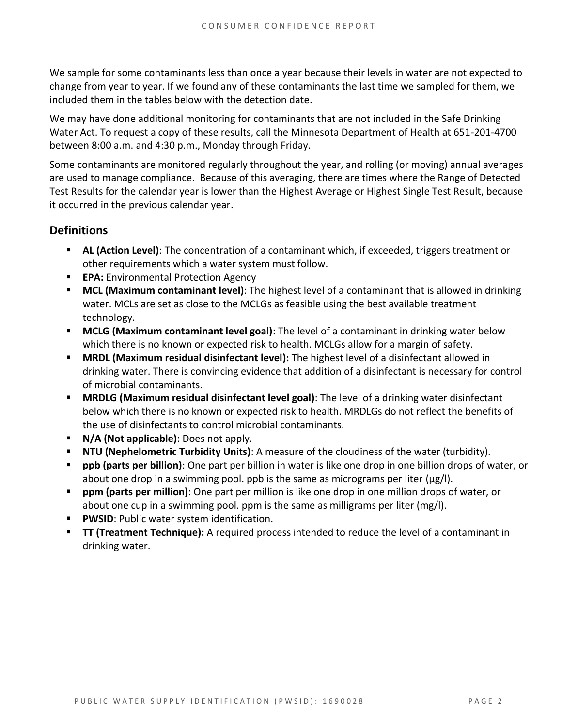We sample for some contaminants less than once a year because their levels in water are not expected to change from year to year. If we found any of these contaminants the last time we sampled for them, we included them in the tables below with the detection date.

We may have done additional monitoring for contaminants that are not included in the Safe Drinking Water Act. To request a copy of these results, call the Minnesota Department of Health at 651-201-4700 between 8:00 a.m. and 4:30 p.m., Monday through Friday.

Some contaminants are monitored regularly throughout the year, and rolling (or moving) annual averages are used to manage compliance. Because of this averaging, there are times where the Range of Detected Test Results for the calendar year is lower than the Highest Average or Highest Single Test Result, because it occurred in the previous calendar year.

#### **Definitions**

- AL (Action Level): The concentration of a contaminant which, if exceeded, triggers treatment or other requirements which a water system must follow.
- **EPA:** Environmental Protection Agency
- **MCL (Maximum contaminant level)**: The highest level of a contaminant that is allowed in drinking water. MCLs are set as close to the MCLGs as feasible using the best available treatment technology.
- **MCLG (Maximum contaminant level goal)**: The level of a contaminant in drinking water below which there is no known or expected risk to health. MCLGs allow for a margin of safety.
- **MRDL (Maximum residual disinfectant level):** The highest level of a disinfectant allowed in drinking water. There is convincing evidence that addition of a disinfectant is necessary for control of microbial contaminants.
- **MRDLG (Maximum residual disinfectant level goal)**: The level of a drinking water disinfectant below which there is no known or expected risk to health. MRDLGs do not reflect the benefits of the use of disinfectants to control microbial contaminants.
- **N/A (Not applicable)**: Does not apply.
- **NTU (Nephelometric Turbidity Units)**: A measure of the cloudiness of the water (turbidity).
- **ppb (parts per billion)**: One part per billion in water is like one drop in one billion drops of water, or about one drop in a swimming pool. ppb is the same as micrograms per liter (μg/l).
- **ppm (parts per million)**: One part per million is like one drop in one million drops of water, or about one cup in a swimming pool. ppm is the same as milligrams per liter (mg/l).
- **PWSID: Public water system identification.**
- **TT (Treatment Technique):** A required process intended to reduce the level of a contaminant in drinking water.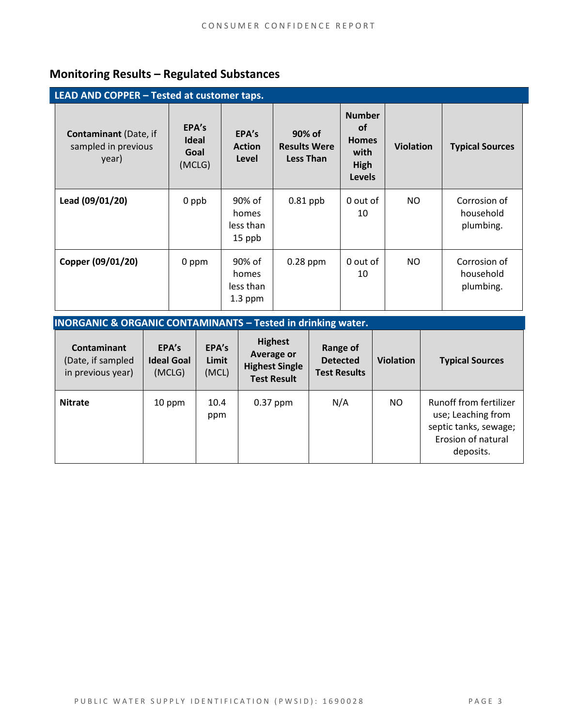### **Monitoring Results – Regulated Substances**

| LEAD AND COPPER - Tested at customer taps.                   |                                         |                                           |                                                   |                                                                             |                  |                                        |
|--------------------------------------------------------------|-----------------------------------------|-------------------------------------------|---------------------------------------------------|-----------------------------------------------------------------------------|------------------|----------------------------------------|
| <b>Contaminant</b> (Date, if<br>sampled in previous<br>year) | EPA's<br><b>Ideal</b><br>Goal<br>(MCLG) | EPA's<br><b>Action</b><br>Level           | 90% of<br><b>Results Were</b><br><b>Less Than</b> | <b>Number</b><br><b>of</b><br><b>Homes</b><br>with<br>High<br><b>Levels</b> | <b>Violation</b> | <b>Typical Sources</b>                 |
| Lead (09/01/20)                                              | 0 ppb                                   | 90% of<br>homes<br>less than<br>15 ppb    | $0.81$ ppb                                        | 0 out of<br>10                                                              | NO.              | Corrosion of<br>household<br>plumbing. |
| Copper (09/01/20)                                            | 0 ppm                                   | 90% of<br>homes<br>less than<br>$1.3$ ppm | $0.28$ ppm                                        | 0 out of<br>10                                                              | NO               | Corrosion of<br>household<br>plumbing. |

| <b>INORGANIC &amp; ORGANIC CONTAMINANTS - Tested in drinking water.</b> |                                      |                         |                                                                             |                                                    |                  |                                                                                                          |  |  |
|-------------------------------------------------------------------------|--------------------------------------|-------------------------|-----------------------------------------------------------------------------|----------------------------------------------------|------------------|----------------------------------------------------------------------------------------------------------|--|--|
| <b>Contaminant</b><br>(Date, if sampled<br>in previous year)            | EPA's<br><b>Ideal Goal</b><br>(MCLG) | EPA's<br>Limit<br>(MCL) | <b>Highest</b><br>Average or<br><b>Highest Single</b><br><b>Test Result</b> | Range of<br><b>Detected</b><br><b>Test Results</b> | <b>Violation</b> | <b>Typical Sources</b>                                                                                   |  |  |
| <b>Nitrate</b>                                                          | 10 ppm                               | 10.4<br>ppm             | $0.37$ ppm                                                                  | N/A                                                | NO               | Runoff from fertilizer<br>use; Leaching from<br>septic tanks, sewage;<br>Erosion of natural<br>deposits. |  |  |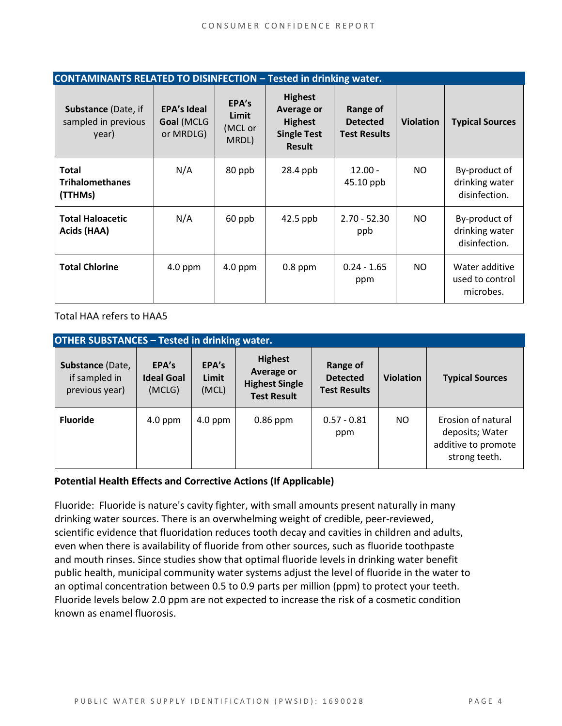| <b>CONTAMINANTS RELATED TO DISINFECTION - Tested in drinking water.</b> |                                               |                                    |                                                                                       |                                                    |                  |                                                  |  |
|-------------------------------------------------------------------------|-----------------------------------------------|------------------------------------|---------------------------------------------------------------------------------------|----------------------------------------------------|------------------|--------------------------------------------------|--|
| <b>Substance (Date, if</b><br>sampled in previous<br>year)              | <b>EPA's Ideal</b><br>Goal (MCLG<br>or MRDLG) | EPA's<br>Limit<br>(MCL or<br>MRDL) | <b>Highest</b><br>Average or<br><b>Highest</b><br><b>Single Test</b><br><b>Result</b> | Range of<br><b>Detected</b><br><b>Test Results</b> | <b>Violation</b> | <b>Typical Sources</b>                           |  |
| <b>Total</b><br><b>Trihalomethanes</b><br>(TTHMs)                       | N/A                                           | 80 ppb                             | $28.4$ ppb                                                                            | $12.00 -$<br>45.10 ppb                             | NO.              | By-product of<br>drinking water<br>disinfection. |  |
| <b>Total Haloacetic</b><br>Acids (HAA)                                  | N/A                                           | 60 ppb                             | $42.5$ ppb                                                                            | $2.70 - 52.30$<br>ppb                              | NO.              | By-product of<br>drinking water<br>disinfection. |  |
| <b>Total Chlorine</b>                                                   | $4.0$ ppm                                     | $4.0$ ppm                          | $0.8$ ppm                                                                             | $0.24 - 1.65$<br>ppm                               | NO.              | Water additive<br>used to control<br>microbes.   |  |

Total HAA refers to HAA5

| <b>OTHER SUBSTANCES - Tested in drinking water.</b> |                                      |                         |                                                                                    |                                                    |                  |                                                                               |  |  |
|-----------------------------------------------------|--------------------------------------|-------------------------|------------------------------------------------------------------------------------|----------------------------------------------------|------------------|-------------------------------------------------------------------------------|--|--|
| Substance (Date,<br>if sampled in<br>previous year) | EPA's<br><b>Ideal Goal</b><br>(MCLG) | EPA's<br>Limit<br>(MCL) | <b>Highest</b><br><b>Average or</b><br><b>Highest Single</b><br><b>Test Result</b> | Range of<br><b>Detected</b><br><b>Test Results</b> | <b>Violation</b> | <b>Typical Sources</b>                                                        |  |  |
| <b>Fluoride</b>                                     | $4.0$ ppm                            | $4.0$ ppm               | $0.86$ ppm                                                                         | $0.57 - 0.81$<br>ppm                               | NO.              | Erosion of natural<br>deposits; Water<br>additive to promote<br>strong teeth. |  |  |

#### **Potential Health Effects and Corrective Actions (If Applicable)**

Fluoride: Fluoride is nature's cavity fighter, with small amounts present naturally in many drinking water sources. There is an overwhelming weight of credible, peer-reviewed, scientific evidence that fluoridation reduces tooth decay and cavities in children and adults, even when there is availability of fluoride from other sources, such as fluoride toothpaste and mouth rinses. Since studies show that optimal fluoride levels in drinking water benefit public health, municipal community water systems adjust the level of fluoride in the water to an optimal concentration between 0.5 to 0.9 parts per million (ppm) to protect your teeth. Fluoride levels below 2.0 ppm are not expected to increase the risk of a cosmetic condition known as enamel fluorosis.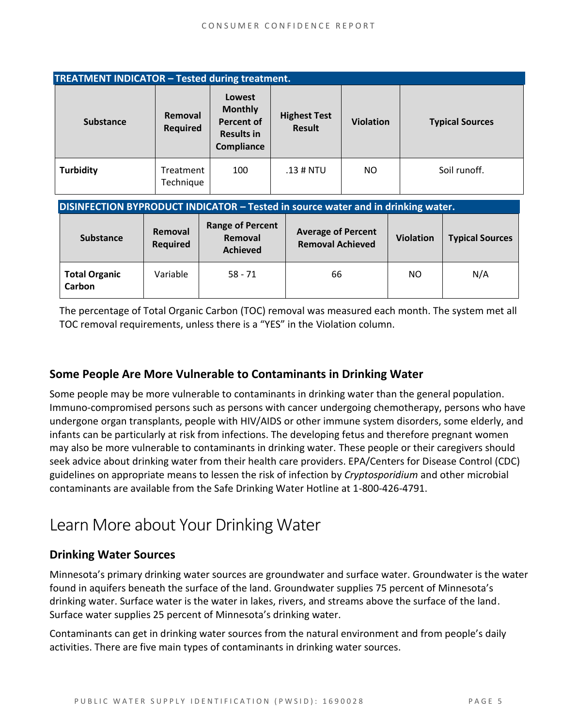| <b>TREATMENT INDICATOR - Tested during treatment.</b>                            |                            |                                                                                  |                                                      |                  |                  |                        |  |  |
|----------------------------------------------------------------------------------|----------------------------|----------------------------------------------------------------------------------|------------------------------------------------------|------------------|------------------|------------------------|--|--|
| <b>Substance</b>                                                                 | Removal<br><b>Required</b> | Lowest<br><b>Monthly</b><br><b>Percent of</b><br><b>Results in</b><br>Compliance | <b>Highest Test</b><br><b>Result</b>                 | <b>Violation</b> |                  | <b>Typical Sources</b> |  |  |
| <b>Turbidity</b>                                                                 | Treatment<br>Technique     |                                                                                  | $.13$ # NTU                                          | NO.              |                  | Soil runoff.           |  |  |
| DISINFECTION BYPRODUCT INDICATOR - Tested in source water and in drinking water. |                            |                                                                                  |                                                      |                  |                  |                        |  |  |
| <b>Substance</b>                                                                 | Removal<br><b>Required</b> | <b>Range of Percent</b><br>Removal<br><b>Achieved</b>                            | <b>Average of Percent</b><br><b>Removal Achieved</b> |                  | <b>Violation</b> | <b>Typical Sources</b> |  |  |

**Total Organic Carbon** Variable | 58 - 71 | 66 | NO | N/A The percentage of Total Organic Carbon (TOC) removal was measured each month. The system met all

TOC removal requirements, unless there is a "YES" in the Violation column.

#### **Some People Are More Vulnerable to Contaminants in Drinking Water**

Some people may be more vulnerable to contaminants in drinking water than the general population. Immuno-compromised persons such as persons with cancer undergoing chemotherapy, persons who have undergone organ transplants, people with HIV/AIDS or other immune system disorders, some elderly, and infants can be particularly at risk from infections. The developing fetus and therefore pregnant women may also be more vulnerable to contaminants in drinking water. These people or their caregivers should seek advice about drinking water from their health care providers. EPA/Centers for Disease Control (CDC) guidelines on appropriate means to lessen the risk of infection by *Cryptosporidium* and other microbial contaminants are available from the Safe Drinking Water Hotline at 1-800-426-4791.

### Learn More about Your Drinking Water

#### **Drinking Water Sources**

Minnesota's primary drinking water sources are groundwater and surface water. Groundwater is the water found in aquifers beneath the surface of the land. Groundwater supplies 75 percent of Minnesota's drinking water. Surface water is the water in lakes, rivers, and streams above the surface of the land. Surface water supplies 25 percent of Minnesota's drinking water.

Contaminants can get in drinking water sources from the natural environment and from people's daily activities. There are five main types of contaminants in drinking water sources.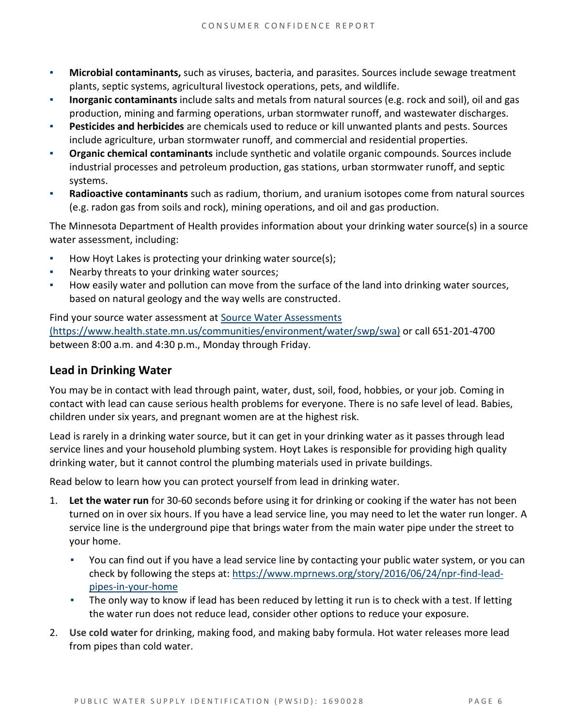- **Microbial contaminants,** such as viruses, bacteria, and parasites. Sources include sewage treatment plants, septic systems, agricultural livestock operations, pets, and wildlife.
- **Inorganic contaminants** include salts and metals from natural sources (e.g. rock and soil), oil and gas production, mining and farming operations, urban stormwater runoff, and wastewater discharges.
- **Pesticides and herbicides** are chemicals used to reduce or kill unwanted plants and pests. Sources include agriculture, urban stormwater runoff, and commercial and residential properties.
- **Organic chemical contaminants** include synthetic and volatile organic compounds. Sources include industrial processes and petroleum production, gas stations, urban stormwater runoff, and septic systems.
- **Radioactive contaminants** such as radium, thorium, and uranium isotopes come from natural sources (e.g. radon gas from soils and rock), mining operations, and oil and gas production.

The Minnesota Department of Health provides information about your drinking water source(s) in a source water assessment, including:

- How Hoyt Lakes is protecting your drinking water source(s);
- Nearby threats to your drinking water sources;
- How easily water and pollution can move from the surface of the land into drinking water sources, based on natural geology and the way wells are constructed.

Find your source water assessment at [Source Water Assessments](https://www.health.state.mn.us/communities/environment/water/swp/swa)  [\(https://www.health.state.mn.us/communities/environment/water/swp/swa\)](https://www.health.state.mn.us/communities/environment/water/swp/swa) or call 651-201-4700 between 8:00 a.m. and 4:30 p.m., Monday through Friday.

#### **Lead in Drinking Water**

You may be in contact with lead through paint, water, dust, soil, food, hobbies, or your job. Coming in contact with lead can cause serious health problems for everyone. There is no safe level of lead. Babies, children under six years, and pregnant women are at the highest risk.

Lead is rarely in a drinking water source, but it can get in your drinking water as it passes through lead service lines and your household plumbing system. Hoyt Lakes is responsible for providing high quality drinking water, but it cannot control the plumbing materials used in private buildings.

Read below to learn how you can protect yourself from lead in drinking water.

- 1. **Let the water run** for 30-60 seconds before using it for drinking or cooking if the water has not been turned on in over six hours. If you have a lead service line, you may need to let the water run longer. A service line is the underground pipe that brings water from the main water pipe under the street to your home.
	- You can find out if you have a lead service line by contacting your public water system, or you can check by following the steps at: [https://www.mprnews.org/story/2016/06/24/npr-find-lead](https://www.mprnews.org/story/2016/06/24/npr-find-lead-pipes-in-your-home)[pipes-in-your-home](https://www.mprnews.org/story/2016/06/24/npr-find-lead-pipes-in-your-home)
	- The only way to know if lead has been reduced by letting it run is to check with a test. If letting the water run does not reduce lead, consider other options to reduce your exposure.
- 2. **Use cold water** for drinking, making food, and making baby formula. Hot water releases more lead from pipes than cold water.